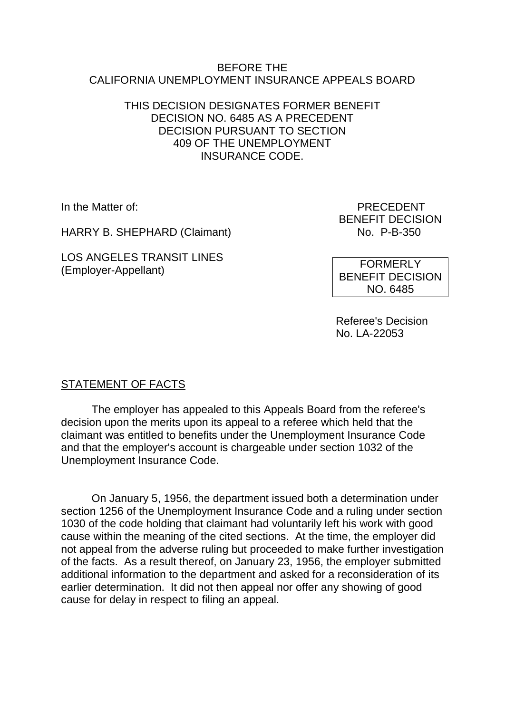### BEFORE THE CALIFORNIA UNEMPLOYMENT INSURANCE APPEALS BOARD

## THIS DECISION DESIGNATES FORMER BENEFIT DECISION NO. 6485 AS A PRECEDENT DECISION PURSUANT TO SECTION 409 OF THE UNEMPLOYMENT INSURANCE CODE.

HARRY B. SHEPHARD (Claimant) No. P-B-350

LOS ANGELES TRANSIT LINES (Employer-Appellant)

In the Matter of: PRECEDENT BENEFIT DECISION

> FORMERLY BENEFIT DECISION NO. 6485

Referee's Decision No. LA-22053

# STATEMENT OF FACTS

The employer has appealed to this Appeals Board from the referee's decision upon the merits upon its appeal to a referee which held that the claimant was entitled to benefits under the Unemployment Insurance Code and that the employer's account is chargeable under section 1032 of the Unemployment Insurance Code.

On January 5, 1956, the department issued both a determination under section 1256 of the Unemployment Insurance Code and a ruling under section 1030 of the code holding that claimant had voluntarily left his work with good cause within the meaning of the cited sections. At the time, the employer did not appeal from the adverse ruling but proceeded to make further investigation of the facts. As a result thereof, on January 23, 1956, the employer submitted additional information to the department and asked for a reconsideration of its earlier determination. It did not then appeal nor offer any showing of good cause for delay in respect to filing an appeal.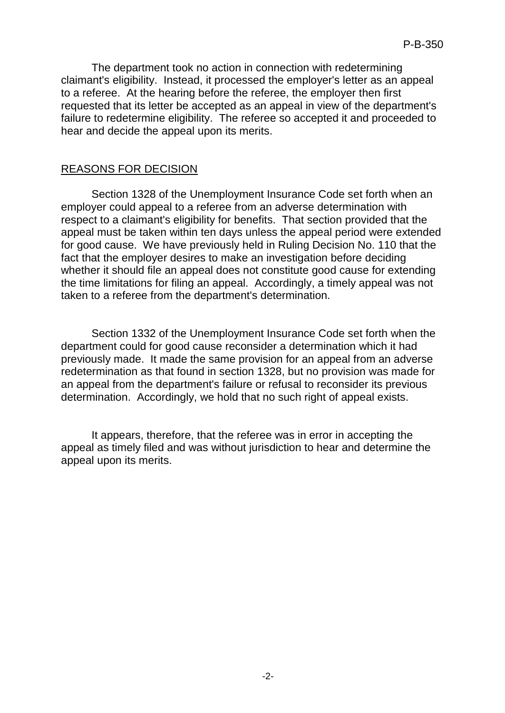The department took no action in connection with redetermining claimant's eligibility. Instead, it processed the employer's letter as an appeal to a referee. At the hearing before the referee, the employer then first requested that its letter be accepted as an appeal in view of the department's failure to redetermine eligibility. The referee so accepted it and proceeded to hear and decide the appeal upon its merits.

#### REASONS FOR DECISION

Section 1328 of the Unemployment Insurance Code set forth when an employer could appeal to a referee from an adverse determination with respect to a claimant's eligibility for benefits. That section provided that the appeal must be taken within ten days unless the appeal period were extended for good cause. We have previously held in Ruling Decision No. 110 that the fact that the employer desires to make an investigation before deciding whether it should file an appeal does not constitute good cause for extending the time limitations for filing an appeal. Accordingly, a timely appeal was not taken to a referee from the department's determination.

Section 1332 of the Unemployment Insurance Code set forth when the department could for good cause reconsider a determination which it had previously made. It made the same provision for an appeal from an adverse redetermination as that found in section 1328, but no provision was made for an appeal from the department's failure or refusal to reconsider its previous determination. Accordingly, we hold that no such right of appeal exists.

It appears, therefore, that the referee was in error in accepting the appeal as timely filed and was without jurisdiction to hear and determine the appeal upon its merits.